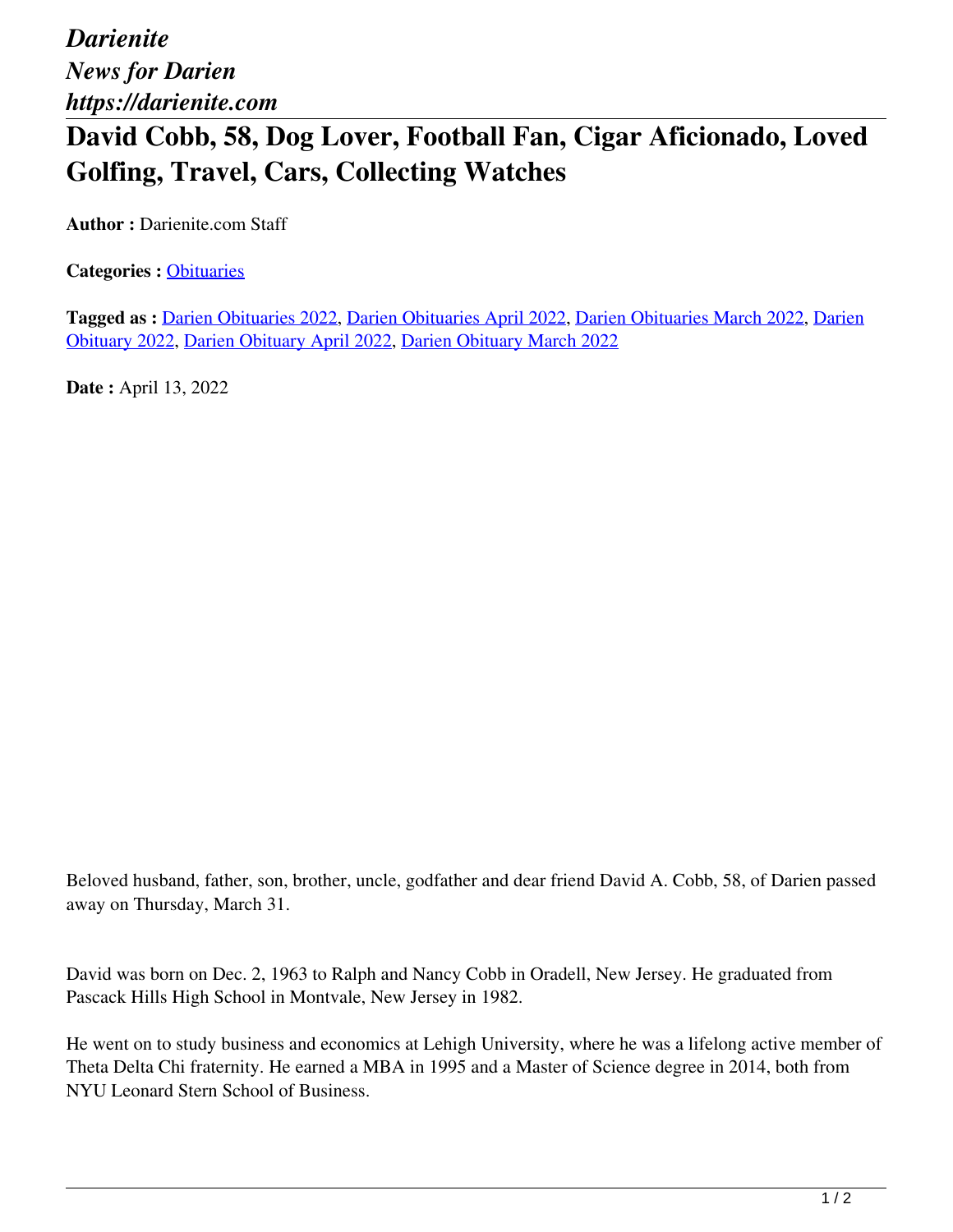*Darienite News for Darien https://darienite.com*

## **David Cobb, 58, Dog Lover, Football Fan, Cigar Aficionado, Loved Golfing, Travel, Cars, Collecting Watches**

**Author :** Darienite.com Staff

**Categories :** [Obituaries](https://darienite.com/category/obituaries)

**Tagged as :** Darien Obituaries 2022, Darien Obituaries April 2022, Darien Obituaries March 2022, Darien Obituary 2022, Darien Obituary April 2022, Darien Obituary March 2022

**Date :** April 13, 2022

Beloved husband, father, son, brother, uncle, godfather and dear friend David A. Cobb, 58, of Darien passed away on Thursday, March 31.

David was born on Dec. 2, 1963 to Ralph and Nancy Cobb in Oradell, New Jersey. He graduated from Pascack Hills High School in Montvale, New Jersey in 1982.

He went on to study business and economics at Lehigh University, where he was a lifelong active member of Theta Delta Chi fraternity. He earned a MBA in 1995 and a Master of Science degree in 2014, both from NYU Leonard Stern School of Business.